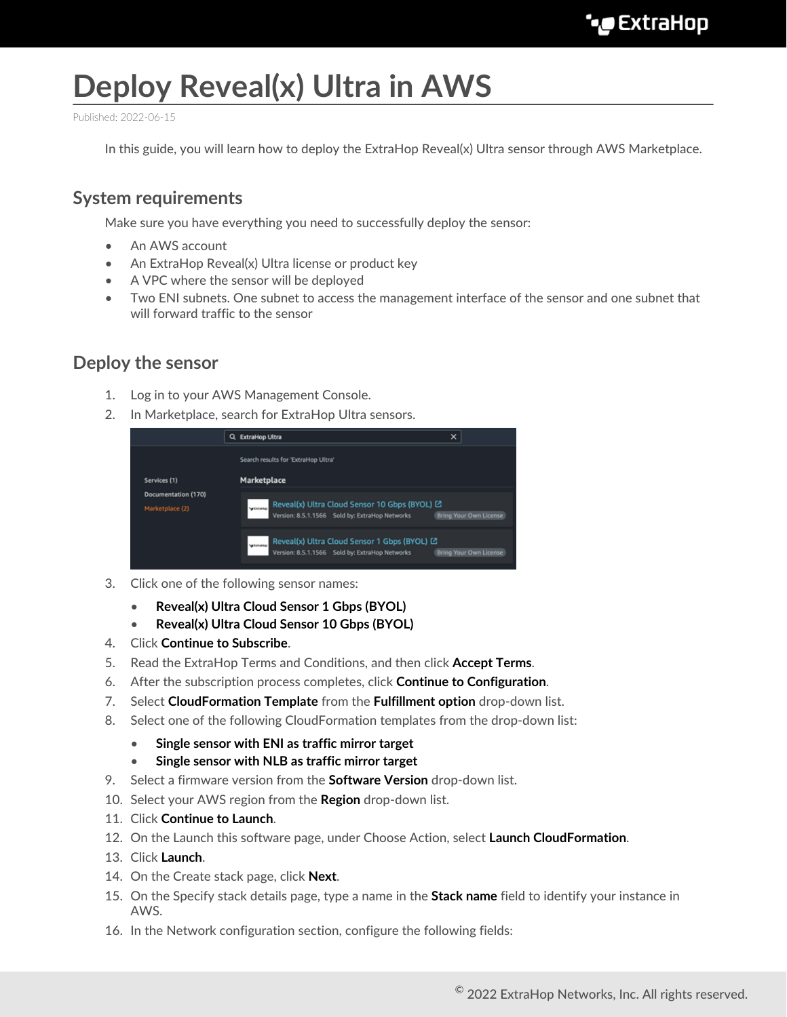# **Deploy Reveal(x) Ultra in AWS**

Published: 2022-06-15

In this guide, you will learn how to deploy the ExtraHop Reveal(x) Ultra sensor through AWS Marketplace.

## **System requirements**

Make sure you have everything you need to successfully deploy the sensor:

- An AWS account
- An ExtraHop Reveal(x) Ultra license or product key
- A VPC where the sensor will be deployed
- Two ENI subnets. One subnet to access the management interface of the sensor and one subnet that will forward traffic to the sensor

### **Deploy the sensor**

- 1. Log in to your AWS Management Console.
- 2. In Marketplace, search for ExtraHop Ultra sensors.

|                                                        | ×<br><b>ExtraHop Ultra</b><br>a                                                                                                                                    |
|--------------------------------------------------------|--------------------------------------------------------------------------------------------------------------------------------------------------------------------|
| Services (1)<br>Documentation (170)<br>Marketplace (2) | Search results for "ExtraHop Ultra"<br>Marketplace                                                                                                                 |
|                                                        | Reveal(x) Ultra Cloud Sensor 10 Gbps (BYOL) L2<br>Version: 8.5.1.1566 Sold by: ExtraHop Networks Br<br><b>Bring Your Own License</b>                               |
|                                                        | Reveal(x) Ultra Cloud Sensor 1 Gbps (BYOL) E.<br>Version: 8.5.1.1566 Sold by: ExtraHop Networks<br><b>Supplier for the former</b><br><b>Bring Your Own License</b> |

- 3. Click one of the following sensor names:
	- **Reveal(x) Ultra Cloud Sensor 1 Gbps (BYOL)**
	- **Reveal(x) Ultra Cloud Sensor 10 Gbps (BYOL)**
- 4. Click **Continue to Subscribe**.
- 5. Read the ExtraHop Terms and Conditions, and then click **Accept Terms**.
- 6. After the subscription process completes, click **Continue to Configuration**.
- 7. Select **CloudFormation Template** from the **Fulfillment option** drop-down list.
- 8. Select one of the following CloudFormation templates from the drop-down list:
	- **Single sensor with ENI as traffic mirror target**
	- **Single sensor with NLB as traffic mirror target**
- 9. Select a firmware version from the **Software Version** drop-down list.
- 10. Select your AWS region from the **Region** drop-down list.
- 11. Click **Continue to Launch**.
- 12. On the Launch this software page, under Choose Action, select **Launch CloudFormation**.
- 13. Click **Launch**.
- 14. On the Create stack page, click **Next**.
- 15. On the Specify stack details page, type a name in the **Stack name** field to identify your instance in AWS.
- 16. In the Network configuration section, configure the following fields: